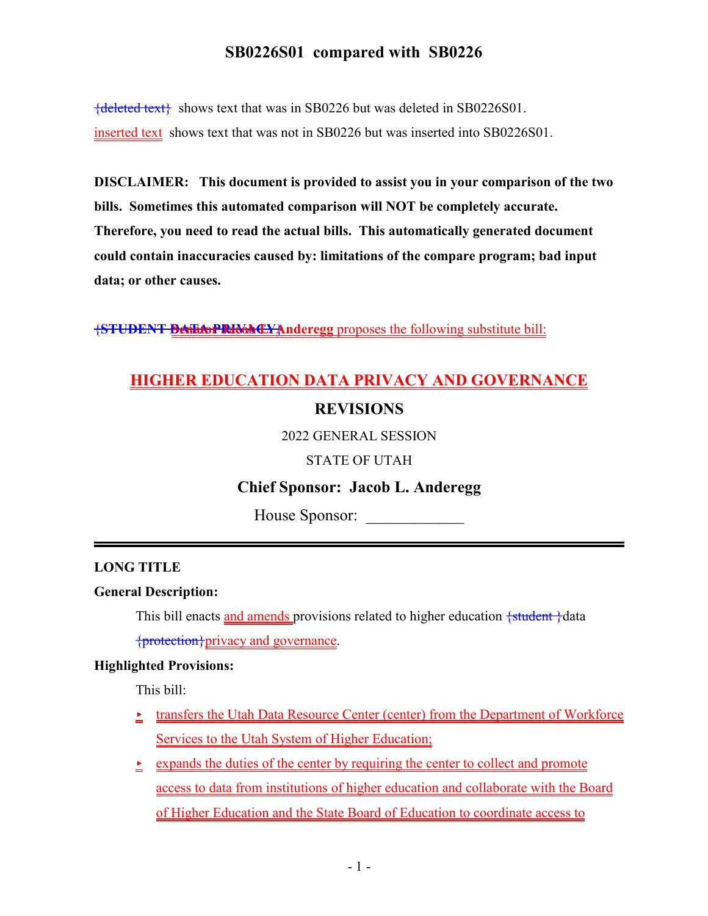{deleted text} shows text that was in SB0226 but was deleted in SB0226S01. inserted text shows text that was not in SB0226 but was inserted into SB0226S01.

**DISCLAIMER: This document is provided to assist you in your comparison of the two bills. Sometimes this automated comparison will NOT be completely accurate. Therefore, you need to read the actual bills. This automatically generated document could contain inaccuracies caused by: limitations of the compare program; bad input data; or other causes.**

**{STUDENT Benator Relate LYAnderegg** proposes the following substitute bill:

# **HIGHER EDUCATION DATA PRIVACY AND GOVERNANCE REVISIONS**

2022 GENERAL SESSION

STATE OF UTAH

## **Chief Sponsor: Jacob L. Anderegg**

House Sponsor:

### **LONG TITLE**

#### **General Description:**

This bill enacts and amends provisions related to higher education  $\frac{1}{1}$ data {protection}privacy and governance.

#### **Highlighted Provisions:**

This bill:

- $\textcolor{red}{\bullet}$  transfers the Utah Data Resource Center (center) from the Department of Workforce Services to the Utah System of Higher Education;
- $\geq$  expands the duties of the center by requiring the center to collect and promote access to data from institutions of higher education and collaborate with the Board of Higher Education and the State Board of Education to coordinate access to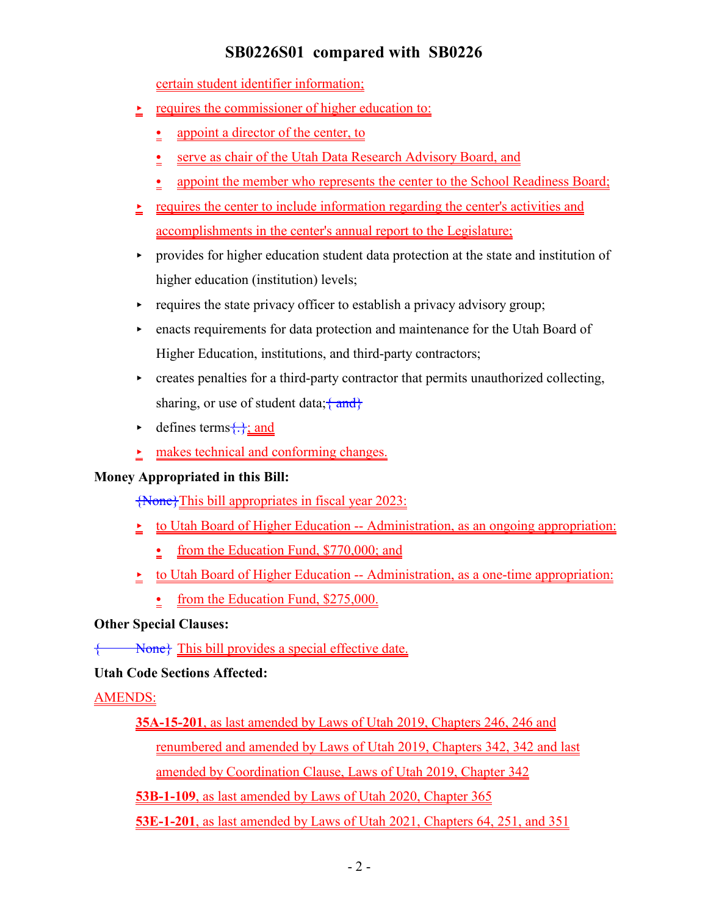certain student identifier information;

- $\geq$  requires the commissioner of higher education to:
	- $\frac{1}{2}$  appoint a director of the center, to
	- serve as chair of the Utah Data Research Advisory Board, and
	- appoint the member who represents the center to the School Readiness Board;
- $\geq$  requires the center to include information regarding the center's activities and accomplishments in the center's annual report to the Legislature;
- < provides for higher education student data protection at the state and institution of higher education (institution) levels;
- $\triangleright$  requires the state privacy officer to establish a privacy advisory group;
- < enacts requirements for data protection and maintenance for the Utah Board of Higher Education, institutions, and third-party contractors;
- < creates penalties for a third-party contractor that permits unauthorized collecting, sharing, or use of student data;  $\{\text{and}\}$
- $\blacktriangleright$  defines terms $\{\cdot\}$ ; and
- makes technical and conforming changes.

### **Money Appropriated in this Bill:**

{None}This bill appropriates in fiscal year 2023:

- to Utah Board of Higher Education -- Administration, as an ongoing appropriation:
	- from the Education Fund,  $$770,000$ ; and
- $\geq$  to Utah Board of Higher Education -- Administration, as a one-time appropriation:
	- from the Education Fund, \$275,000.

### **Other Special Clauses:**

None} This bill provides a special effective date.

## **Utah Code Sections Affected:**

## AMENDS:

**35A-15-201**, as last amended by Laws of Utah 2019, Chapters 246, 246 and renumbered and amended by Laws of Utah 2019, Chapters 342, 342 and last amended by Coordination Clause, Laws of Utah 2019, Chapter 342

**53B-1-109**, as last amended by Laws of Utah 2020, Chapter 365

**53E-1-201**, as last amended by Laws of Utah 2021, Chapters 64, 251, and 351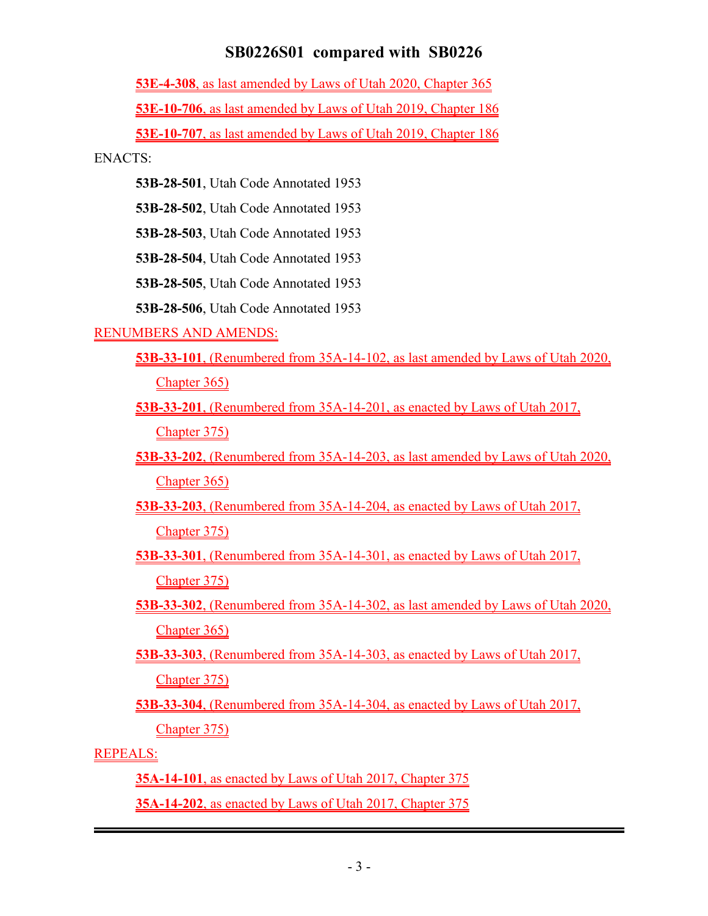**53E-4-308**, as last amended by Laws of Utah 2020, Chapter 365

**53E-10-706**, as last amended by Laws of Utah 2019, Chapter 186

**53E-10-707**, as last amended by Laws of Utah 2019, Chapter 186

ENACTS:

**53B-28-501**, Utah Code Annotated 1953

**53B-28-502**, Utah Code Annotated 1953

**53B-28-503**, Utah Code Annotated 1953

**53B-28-504**, Utah Code Annotated 1953

**53B-28-505**, Utah Code Annotated 1953

**53B-28-506**, Utah Code Annotated 1953

### RENUMBERS AND AMENDS:

- **53B-33-101**, (Renumbered from 35A-14-102, as last amended by Laws of Utah 2020, Chapter 365)
- **53B-33-201**, (Renumbered from 35A-14-201, as enacted by Laws of Utah 2017, Chapter 375)
- **53B-33-202**, (Renumbered from 35A-14-203, as last amended by Laws of Utah 2020, Chapter 365)
- **53B-33-203**, (Renumbered from 35A-14-204, as enacted by Laws of Utah 2017, Chapter 375)
- **53B-33-301**, (Renumbered from 35A-14-301, as enacted by Laws of Utah 2017, Chapter 375)
- **53B-33-302**, (Renumbered from 35A-14-302, as last amended by Laws of Utah 2020, Chapter 365)
- **53B-33-303**, (Renumbered from 35A-14-303, as enacted by Laws of Utah 2017,

Chapter 375)

**53B-33-304**, (Renumbered from 35A-14-304, as enacted by Laws of Utah 2017, Chapter 375)

## REPEALS:

**35A-14-101**, as enacted by Laws of Utah 2017, Chapter 375 **35A-14-202**, as enacted by Laws of Utah 2017, Chapter 375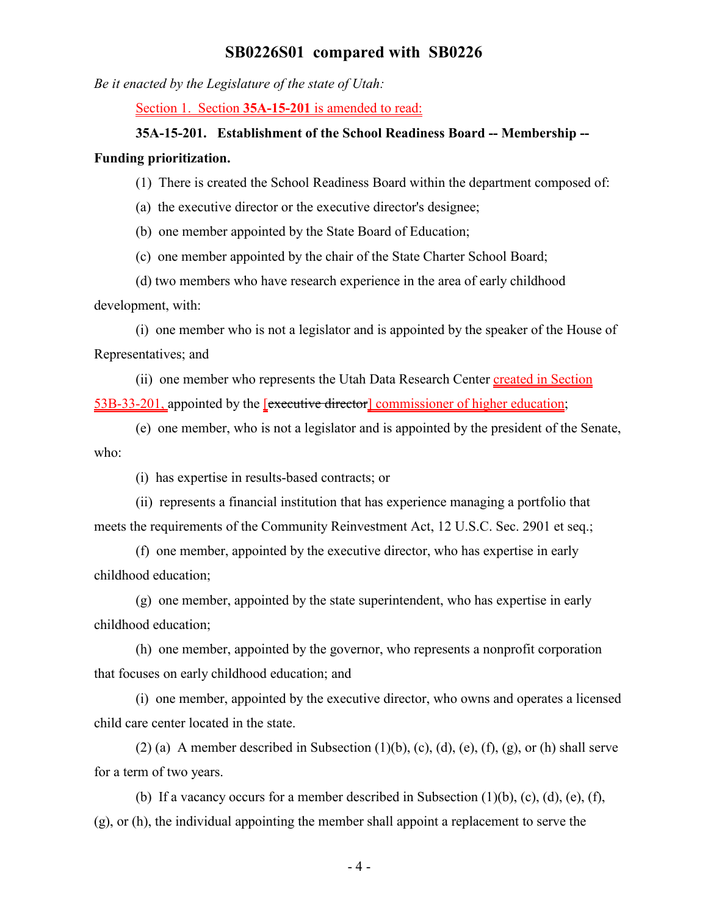*Be it enacted by the Legislature of the state of Utah:*

Section 1. Section **35A-15-201** is amended to read:

#### **35A-15-201. Establishment of the School Readiness Board -- Membership --**

#### **Funding prioritization.**

- (1) There is created the School Readiness Board within the department composed of:
- (a) the executive director or the executive director's designee;

(b) one member appointed by the State Board of Education;

(c) one member appointed by the chair of the State Charter School Board;

(d) two members who have research experience in the area of early childhood development, with:

(i) one member who is not a legislator and is appointed by the speaker of the House of Representatives; and

(ii) one member who represents the Utah Data Research Center created in Section 53B-33-201, appointed by the [executive director] commissioner of higher education;

(e) one member, who is not a legislator and is appointed by the president of the Senate, who:

(i) has expertise in results-based contracts; or

(ii) represents a financial institution that has experience managing a portfolio that meets the requirements of the Community Reinvestment Act, 12 U.S.C. Sec. 2901 et seq.;

(f) one member, appointed by the executive director, who has expertise in early childhood education;

(g) one member, appointed by the state superintendent, who has expertise in early childhood education;

(h) one member, appointed by the governor, who represents a nonprofit corporation that focuses on early childhood education; and

(i) one member, appointed by the executive director, who owns and operates a licensed child care center located in the state.

(2) (a) A member described in Subsection  $(1)(b)$ ,  $(c)$ ,  $(d)$ ,  $(e)$ ,  $(f)$ ,  $(g)$ , or  $(h)$  shall serve for a term of two years.

(b) If a vacancy occurs for a member described in Subsection  $(1)(b)$ ,  $(c)$ ,  $(d)$ ,  $(e)$ ,  $(f)$ , (g), or (h), the individual appointing the member shall appoint a replacement to serve the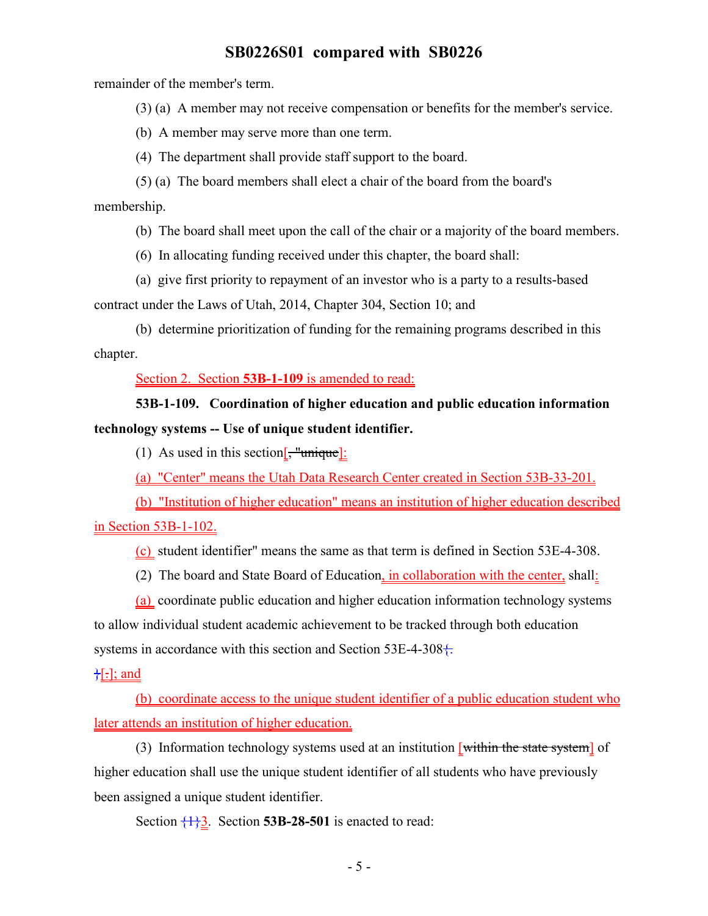remainder of the member's term.

(3) (a) A member may not receive compensation or benefits for the member's service.

(b) A member may serve more than one term.

(4) The department shall provide staff support to the board.

(5) (a) The board members shall elect a chair of the board from the board's membership.

(b) The board shall meet upon the call of the chair or a majority of the board members.

(6) In allocating funding received under this chapter, the board shall:

(a) give first priority to repayment of an investor who is a party to a results-based contract under the Laws of Utah, 2014, Chapter 304, Section 10; and

(b) determine prioritization of funding for the remaining programs described in this chapter.

Section 2. Section **53B-1-109** is amended to read:

## **53B-1-109. Coordination of higher education and public education information technology systems -- Use of unique student identifier.**

(1) As used in this section[ $\frac{1}{2}$  "unique]:

(a) "Center" means the Utah Data Research Center created in Section 53B-33-201.

(b) "Institution of higher education" means an institution of higher education described in Section 53B-1-102.

(c) student identifier" means the same as that term is defined in Section 53E-4-308.

(2) The board and State Board of Education, in collaboration with the center, shall:

(a) coordinate public education and higher education information technology systems to allow individual student academic achievement to be tracked through both education systems in accordance with this section and Section  $53E-4-308+$ .

 $\frac{1}{6}$ .]; and

(b) coordinate access to the unique student identifier of a public education student who later attends an institution of higher education.

(3) Information technology systems used at an institution  $[$ within the state system] of higher education shall use the unique student identifier of all students who have previously been assigned a unique student identifier.

Section  $\{\frac{1}{2}\}$ . Section **53B-28-501** is enacted to read: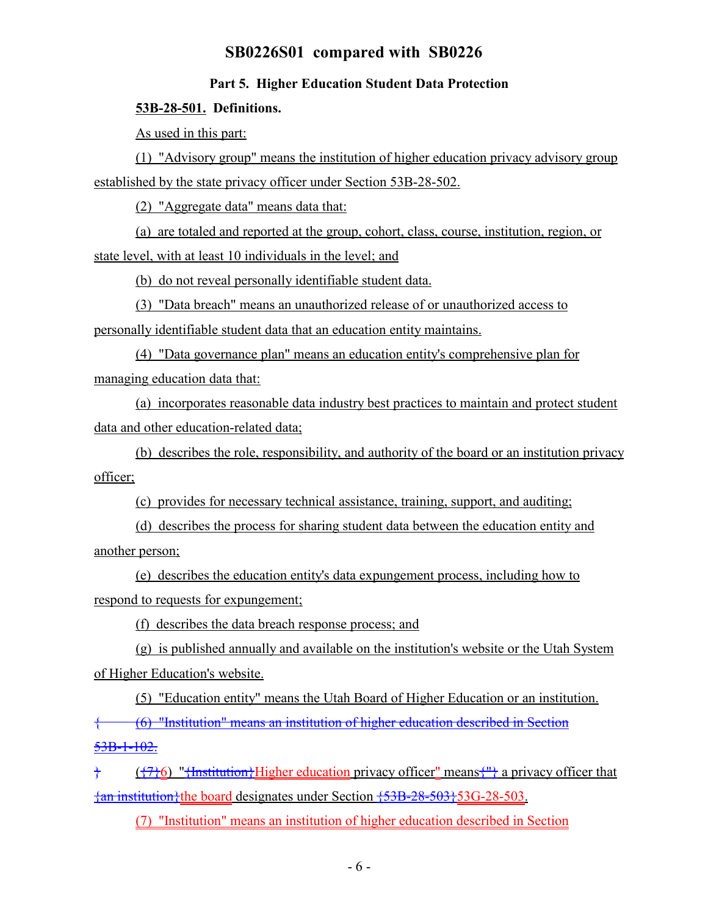#### **Part 5. Higher Education Student Data Protection**

#### **53B-28-501. Definitions.**

As used in this part:

(1) "Advisory group" means the institution of higher education privacy advisory group established by the state privacy officer under Section 53B-28-502.

(2) "Aggregate data" means data that:

(a) are totaled and reported at the group, cohort, class, course, institution, region, or state level, with at least 10 individuals in the level; and

(b) do not reveal personally identifiable student data.

(3) "Data breach" means an unauthorized release of or unauthorized access to personally identifiable student data that an education entity maintains.

(4) "Data governance plan" means an education entity's comprehensive plan for managing education data that:

(a) incorporates reasonable data industry best practices to maintain and protect student data and other education-related data;

(b) describes the role, responsibility, and authority of the board or an institution privacy officer;

(c) provides for necessary technical assistance, training, support, and auditing;

(d) describes the process for sharing student data between the education entity and another person;

(e) describes the education entity's data expungement process, including how to respond to requests for expungement;

(f) describes the data breach response process; and

(g) is published annually and available on the institution's website or the Utah System of Higher Education's website.

(5) "Education entity" means the Utah Board of Higher Education or an institution. { (6) "Institution" means an institution of higher education described in Section  $53B-1-102.$ 

 $\}$  ({7}6) "{Institution}Higher education privacy officer" means {"} a privacy officer that  $\{\text{an institution}\}\$  the board designates under Section  $\{53B-28-503\}$  53G-28-503.

(7) "Institution" means an institution of higher education described in Section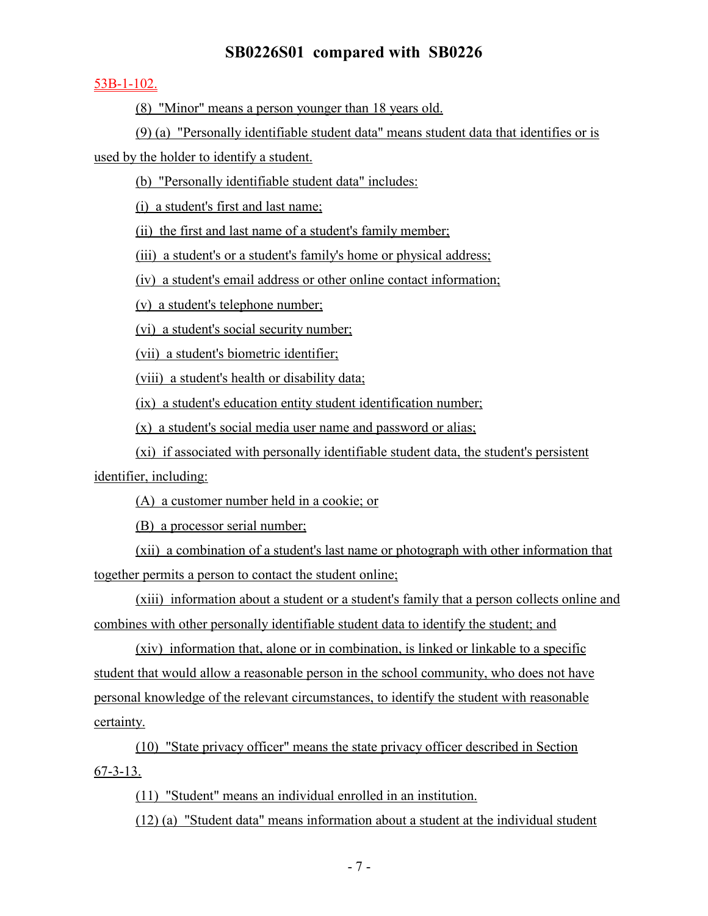#### 53B-1-102.

(8) "Minor" means a person younger than 18 years old.

(9) (a) "Personally identifiable student data" means student data that identifies or is

used by the holder to identify a student.

(b) "Personally identifiable student data" includes:

(i) a student's first and last name;

(ii) the first and last name of a student's family member;

(iii) a student's or a student's family's home or physical address;

(iv) a student's email address or other online contact information;

(v) a student's telephone number;

(vi) a student's social security number;

(vii) a student's biometric identifier;

(viii) a student's health or disability data;

(ix) a student's education entity student identification number;

(x) a student's social media user name and password or alias;

(xi) if associated with personally identifiable student data, the student's persistent

identifier, including:

(A) a customer number held in a cookie; or

(B) a processor serial number;

(xii) a combination of a student's last name or photograph with other information that together permits a person to contact the student online;

(xiii) information about a student or a student's family that a person collects online and combines with other personally identifiable student data to identify the student; and

(xiv) information that, alone or in combination, is linked or linkable to a specific student that would allow a reasonable person in the school community, who does not have personal knowledge of the relevant circumstances, to identify the student with reasonable certainty.

(10) "State privacy officer" means the state privacy officer described in Section 67-3-13.

(11) "Student" means an individual enrolled in an institution.

(12) (a) "Student data" means information about a student at the individual student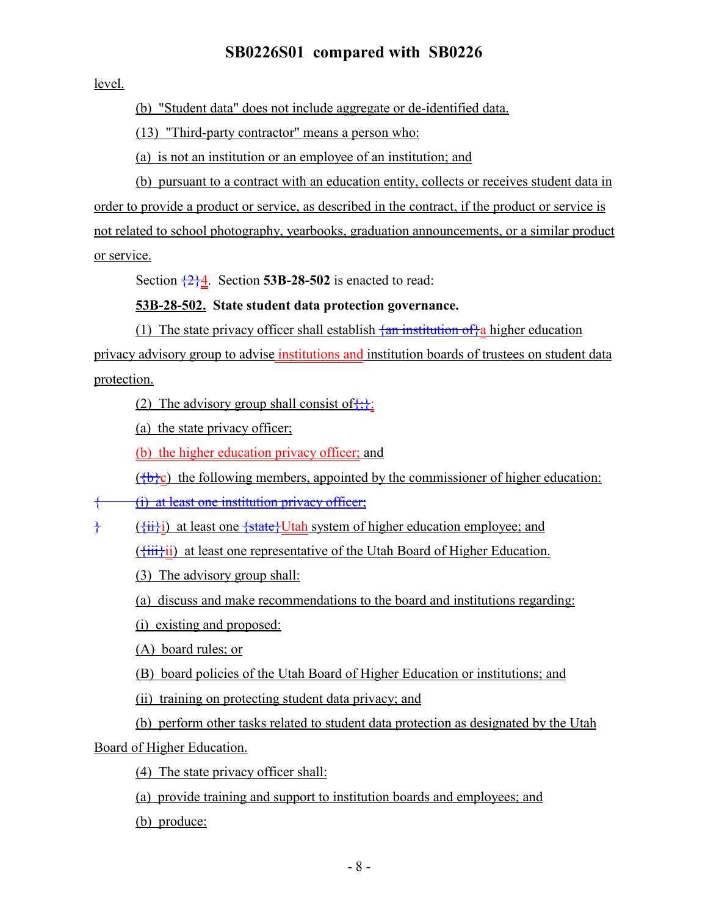level.

(b) "Student data" does not include aggregate or de-identified data.

(13) "Third-party contractor" means a person who:

(a) is not an institution or an employee of an institution; and

(b) pursuant to a contract with an education entity, collects or receives student data in order to provide a product or service, as described in the contract, if the product or service is not related to school photography, yearbooks, graduation announcements, or a similar product or service.

Section  $\frac{2}{2}$ . Section **53B-28-502** is enacted to read:

### **53B-28-502. State student data protection governance.**

(1) The state privacy officer shall establish  $\frac{1}{2}$  an institution of  $\frac{1}{4}$  a higher education privacy advisory group to advise institutions and institution boards of trustees on student data protection.

(2) The advisory group shall consist of  $\{ \}$ :

(a) the state privacy officer;

(b) the higher education privacy officer; and

 $({b}c)$  the following members, appointed by the commissioner of higher education:

{ (i) at least one institution privacy officer;

} ({ii}i) at least one {state}Utah system of higher education employee; and

 $(\overrightarrow{111})$  at least one representative of the Utah Board of Higher Education.

(3) The advisory group shall:

(a) discuss and make recommendations to the board and institutions regarding:

(i) existing and proposed:

(A) board rules; or

(B) board policies of the Utah Board of Higher Education or institutions; and

(ii) training on protecting student data privacy; and

(b) perform other tasks related to student data protection as designated by the Utah Board of Higher Education.

(4) The state privacy officer shall:

(a) provide training and support to institution boards and employees; and

(b) produce: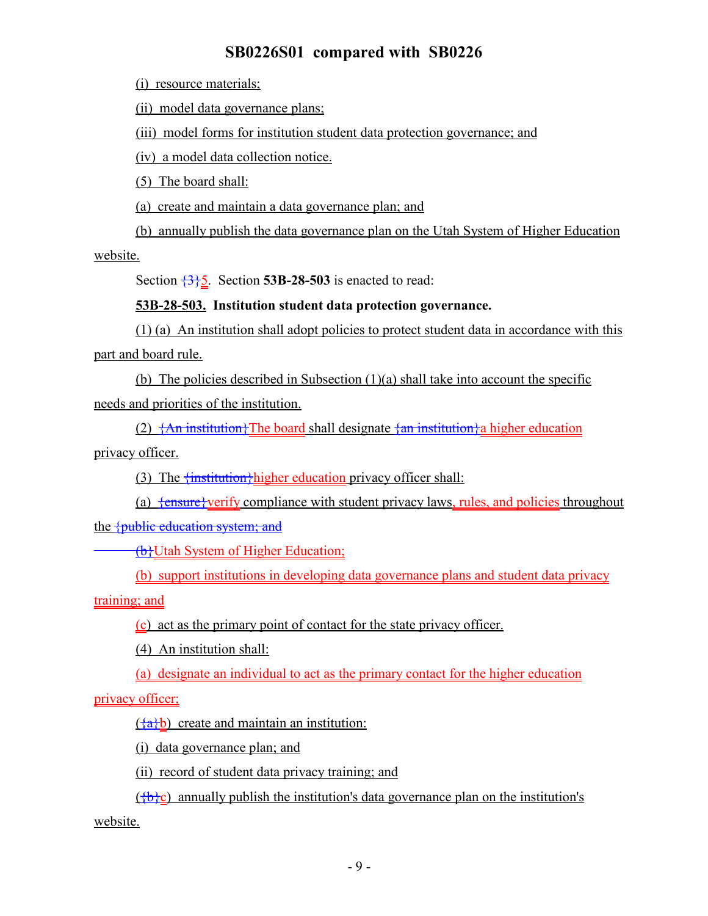(i) resource materials;

(ii) model data governance plans;

(iii) model forms for institution student data protection governance; and

(iv) a model data collection notice.

(5) The board shall:

(a) create and maintain a data governance plan; and

(b) annually publish the data governance plan on the Utah System of Higher Education

website.

Section  $\frac{335}{2}$ . Section **53B-28-503** is enacted to read:

### **53B-28-503. Institution student data protection governance.**

(1) (a) An institution shall adopt policies to protect student data in accordance with this part and board rule.

(b) The policies described in Subsection (1)(a) shall take into account the specific needs and priorities of the institution.

(2)  $\{An\text{ institution}\}$ The board shall designate  $\{an\text{ institution}\}$ a higher education privacy officer.

(3) The  $\frac{1}{1}$  finstitution higher education privacy officer shall:

(a)  $\frac{1}{2}$  fensure}verify compliance with student privacy laws, rules, and policies throughout the {public education system; and

**(b)Utah System of Higher Education;** 

(b) support institutions in developing data governance plans and student data privacy

training; and

(c) act as the primary point of contact for the state privacy officer.

(4) An institution shall:

(a) designate an individual to act as the primary contact for the higher education

privacy officer;

 $\left(\frac{a}{b}\right)$  create and maintain an institution:

(i) data governance plan; and

(ii) record of student data privacy training; and

 $({b}c)$  annually publish the institution's data governance plan on the institution's

website.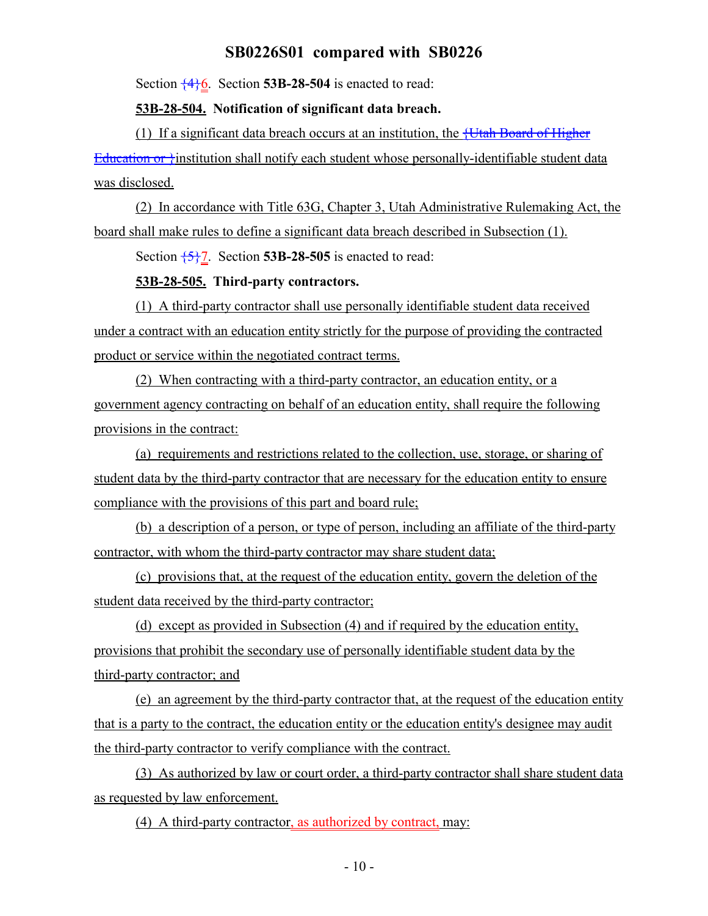Section  $\frac{4}{6}$ . Section **53B-28-504** is enacted to read:

#### **53B-28-504. Notification of significant data breach.**

(1) If a significant data breach occurs at an institution, the  $\frac{1}{1 + \frac{1}{1 + \frac{1}{1}}$  Board of Higher Education or *f*institution shall notify each student whose personally-identifiable student data was disclosed.

(2) In accordance with Title 63G, Chapter 3, Utah Administrative Rulemaking Act, the board shall make rules to define a significant data breach described in Subsection (1).

Section  $\frac{5}{7}$ . Section **53B-28-505** is enacted to read:

### **53B-28-505. Third-party contractors.**

(1) A third-party contractor shall use personally identifiable student data received under a contract with an education entity strictly for the purpose of providing the contracted product or service within the negotiated contract terms.

(2) When contracting with a third-party contractor, an education entity, or a government agency contracting on behalf of an education entity, shall require the following provisions in the contract:

(a) requirements and restrictions related to the collection, use, storage, or sharing of student data by the third-party contractor that are necessary for the education entity to ensure compliance with the provisions of this part and board rule;

(b) a description of a person, or type of person, including an affiliate of the third-party contractor, with whom the third-party contractor may share student data;

(c) provisions that, at the request of the education entity, govern the deletion of the student data received by the third-party contractor;

(d) except as provided in Subsection (4) and if required by the education entity, provisions that prohibit the secondary use of personally identifiable student data by the third-party contractor; and

(e) an agreement by the third-party contractor that, at the request of the education entity that is a party to the contract, the education entity or the education entity's designee may audit the third-party contractor to verify compliance with the contract.

(3) As authorized by law or court order, a third-party contractor shall share student data as requested by law enforcement.

(4) A third-party contractor, as authorized by contract, may: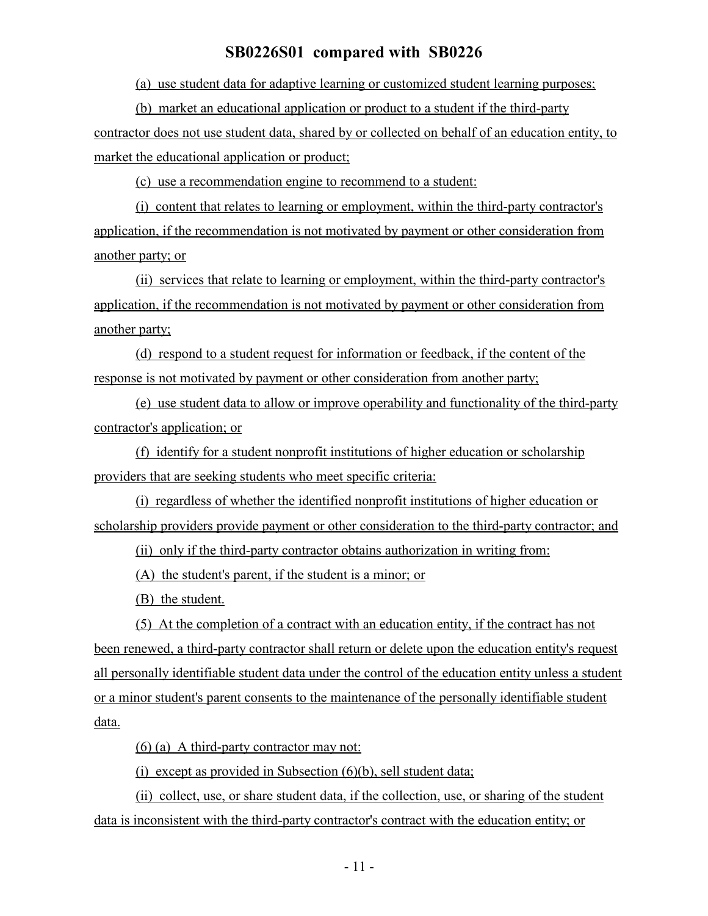(a) use student data for adaptive learning or customized student learning purposes;

(b) market an educational application or product to a student if the third-party contractor does not use student data, shared by or collected on behalf of an education entity, to market the educational application or product;

(c) use a recommendation engine to recommend to a student:

(i) content that relates to learning or employment, within the third-party contractor's application, if the recommendation is not motivated by payment or other consideration from another party; or

(ii) services that relate to learning or employment, within the third-party contractor's application, if the recommendation is not motivated by payment or other consideration from another party;

(d) respond to a student request for information or feedback, if the content of the response is not motivated by payment or other consideration from another party;

(e) use student data to allow or improve operability and functionality of the third-party contractor's application; or

(f) identify for a student nonprofit institutions of higher education or scholarship providers that are seeking students who meet specific criteria:

(i) regardless of whether the identified nonprofit institutions of higher education or scholarship providers provide payment or other consideration to the third-party contractor; and

(ii) only if the third-party contractor obtains authorization in writing from:

(A) the student's parent, if the student is a minor; or

(B) the student.

(5) At the completion of a contract with an education entity, if the contract has not been renewed, a third-party contractor shall return or delete upon the education entity's request all personally identifiable student data under the control of the education entity unless a student or a minor student's parent consents to the maintenance of the personally identifiable student data.

(6) (a) A third-party contractor may not:

(i) except as provided in Subsection  $(6)(b)$ , sell student data;

(ii) collect, use, or share student data, if the collection, use, or sharing of the student data is inconsistent with the third-party contractor's contract with the education entity; or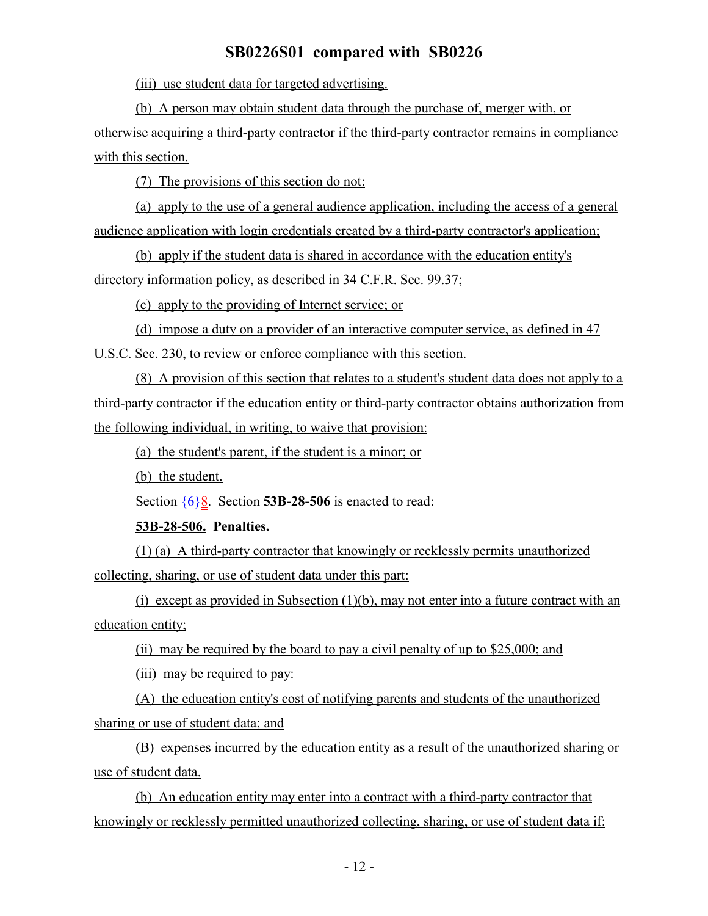(iii) use student data for targeted advertising.

(b) A person may obtain student data through the purchase of, merger with, or otherwise acquiring a third-party contractor if the third-party contractor remains in compliance with this section.

(7) The provisions of this section do not:

(a) apply to the use of a general audience application, including the access of a general audience application with login credentials created by a third-party contractor's application;

(b) apply if the student data is shared in accordance with the education entity's directory information policy, as described in 34 C.F.R. Sec. 99.37;

(c) apply to the providing of Internet service; or

(d) impose a duty on a provider of an interactive computer service, as defined in 47 U.S.C. Sec. 230, to review or enforce compliance with this section.

(8) A provision of this section that relates to a student's student data does not apply to a third-party contractor if the education entity or third-party contractor obtains authorization from the following individual, in writing, to waive that provision:

(a) the student's parent, if the student is a minor; or

(b) the student.

Section  $\frac{6}{8}$ . Section **53B-28-506** is enacted to read:

#### **53B-28-506. Penalties.**

(1) (a) A third-party contractor that knowingly or recklessly permits unauthorized collecting, sharing, or use of student data under this part:

(i) except as provided in Subsection (1)(b), may not enter into a future contract with an education entity;

(ii) may be required by the board to pay a civil penalty of up to \$25,000; and

(iii) may be required to pay:

(A) the education entity's cost of notifying parents and students of the unauthorized sharing or use of student data; and

(B) expenses incurred by the education entity as a result of the unauthorized sharing or use of student data.

(b) An education entity may enter into a contract with a third-party contractor that knowingly or recklessly permitted unauthorized collecting, sharing, or use of student data if: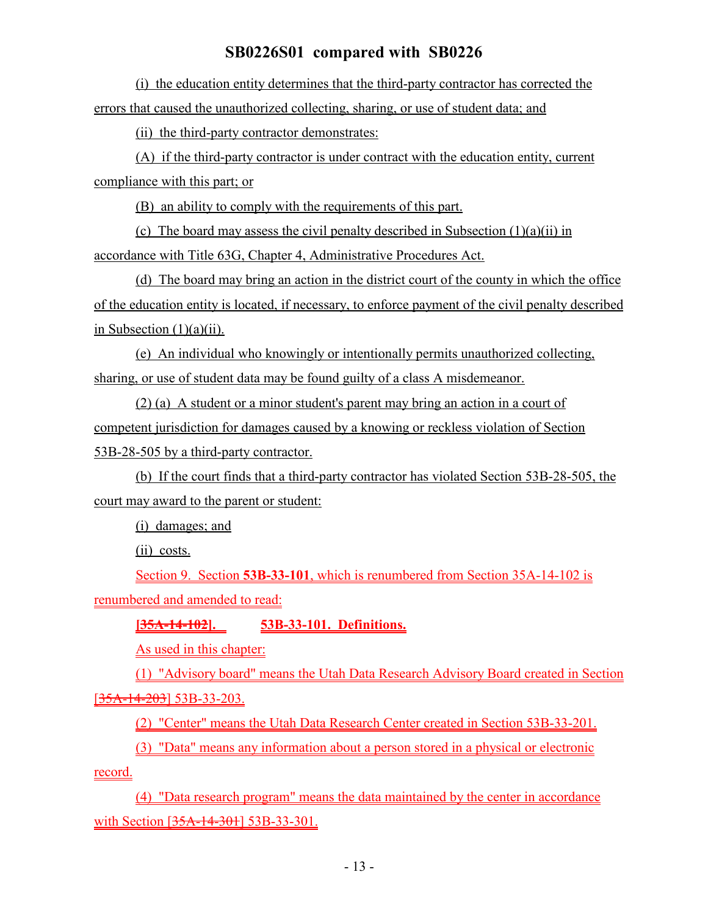(i) the education entity determines that the third-party contractor has corrected the errors that caused the unauthorized collecting, sharing, or use of student data; and

(ii) the third-party contractor demonstrates:

(A) if the third-party contractor is under contract with the education entity, current compliance with this part; or

(B) an ability to comply with the requirements of this part.

(c) The board may assess the civil penalty described in Subsection (1)(a)(ii) in accordance with Title 63G, Chapter 4, Administrative Procedures Act.

(d) The board may bring an action in the district court of the county in which the office of the education entity is located, if necessary, to enforce payment of the civil penalty described in Subsection  $(1)(a)(ii)$ .

(e) An individual who knowingly or intentionally permits unauthorized collecting, sharing, or use of student data may be found guilty of a class A misdemeanor.

(2) (a) A student or a minor student's parent may bring an action in a court of competent jurisdiction for damages caused by a knowing or reckless violation of Section 53B-28-505 by a third-party contractor.

(b) If the court finds that a third-party contractor has violated Section 53B-28-505, the court may award to the parent or student:

(i) damages; and

(ii) costs.

Section 9. Section **53B-33-101**, which is renumbered from Section 35A-14-102 is renumbered and amended to read:

**[35A-14-102]. 53B-33-101. Definitions.**

As used in this chapter:

(1) "Advisory board" means the Utah Data Research Advisory Board created in Section [35A-14-203] 53B-33-203.

(2) "Center" means the Utah Data Research Center created in Section 53B-33-201.

(3) "Data" means any information about a person stored in a physical or electronic record.

(4) "Data research program" means the data maintained by the center in accordance with Section [35A-14-301] 53B-33-301.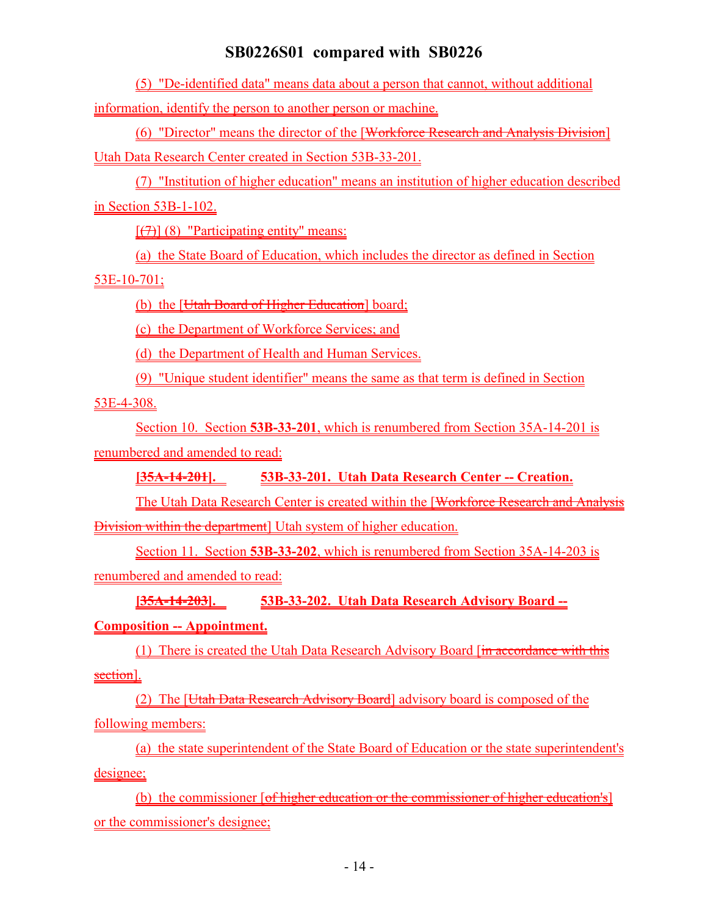(5) "De-identified data" means data about a person that cannot, without additional information, identify the person to another person or machine.

(6) "Director" means the director of the [Workforce Research and Analysis Division] Utah Data Research Center created in Section 53B-33-201.

(7) "Institution of higher education" means an institution of higher education described in Section 53B-1-102.

 $[\overline{(7)}]$  (8) "Participating entity" means:

(a) the State Board of Education, which includes the director as defined in Section

### $53E-10-701;$

(b) the [Utah Board of Higher Education] board;

(c) the Department of Workforce Services; and

(d) the Department of Health and Human Services.

(9) "Unique student identifier" means the same as that term is defined in Section

53E-4-308.

Section 10. Section **53B-33-201**, which is renumbered from Section 35A-14-201 is renumbered and amended to read:

**[35A-14-201]. 53B-33-201. Utah Data Research Center -- Creation.**

The Utah Data Research Center is created within the [Workforce Research and Analysis Division within the department] Utah system of higher education.

Section 11. Section **53B-33-202**, which is renumbered from Section 35A-14-203 is renumbered and amended to read:

**[35A-14-203]. 53B-33-202. Utah Data Research Advisory Board --**

**Composition -- Appointment.**

(1) There is created the Utah Data Research Advisory Board [in accordance with this section].

(2) The [Utah Data Research Advisory Board] advisory board is composed of the following members:

(a) the state superintendent of the State Board of Education or the state superintendent's designee;

(b) the commissioner [of higher education or the commissioner of higher education's] or the commissioner's designee;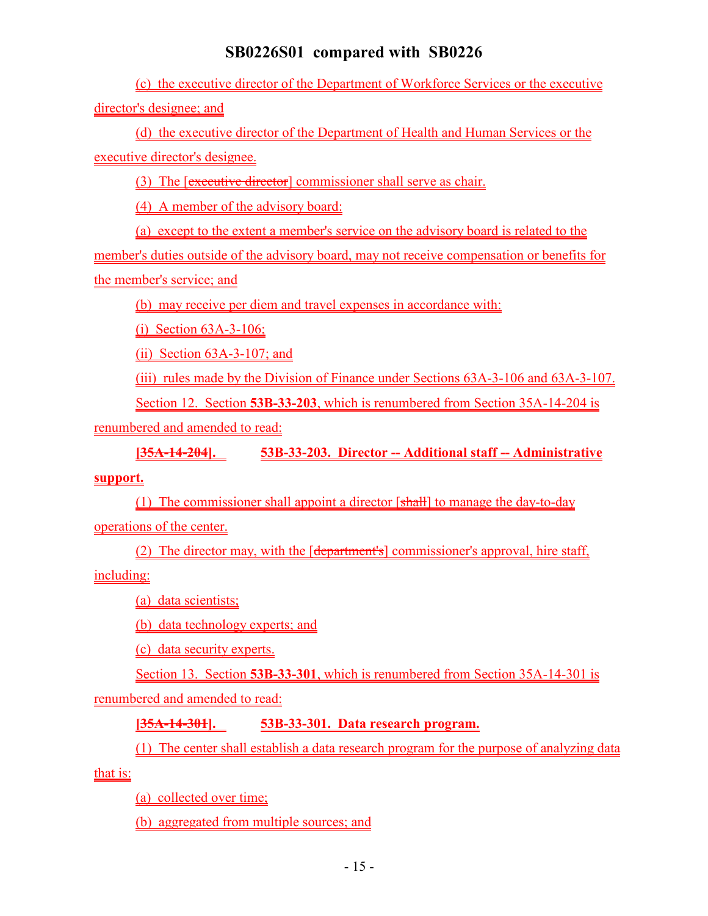(c) the executive director of the Department of Workforce Services or the executive director's designee; and

(d) the executive director of the Department of Health and Human Services or the executive director's designee.

(3) The [executive director] commissioner shall serve as chair.

(4) A member of the advisory board:

(a) except to the extent a member's service on the advisory board is related to the member's duties outside of the advisory board, may not receive compensation or benefits for the member's service; and

(b) may receive per diem and travel expenses in accordance with:

(i) Section 63A-3-106;

(ii) Section 63A-3-107; and

(iii) rules made by the Division of Finance under Sections 63A-3-106 and 63A-3-107.

Section 12. Section **53B-33-203**, which is renumbered from Section 35A-14-204 is

renumbered and amended to read:

**[35A-14-204]. 53B-33-203. Director -- Additional staff -- Administrative**

#### **support.**

(1) The commissioner shall appoint a director [shall] to manage the day-to-day operations of the center.

(2) The director may, with the [department's] commissioner's approval, hire staff,

including:

(a) data scientists;

(b) data technology experts; and

(c) data security experts.

Section 13. Section **53B-33-301**, which is renumbered from Section 35A-14-301 is renumbered and amended to read:

### **[35A-14-301]. 53B-33-301. Data research program.**

(1) The center shall establish a data research program for the purpose of analyzing data

that is:

(a) collected over time;

(b) aggregated from multiple sources; and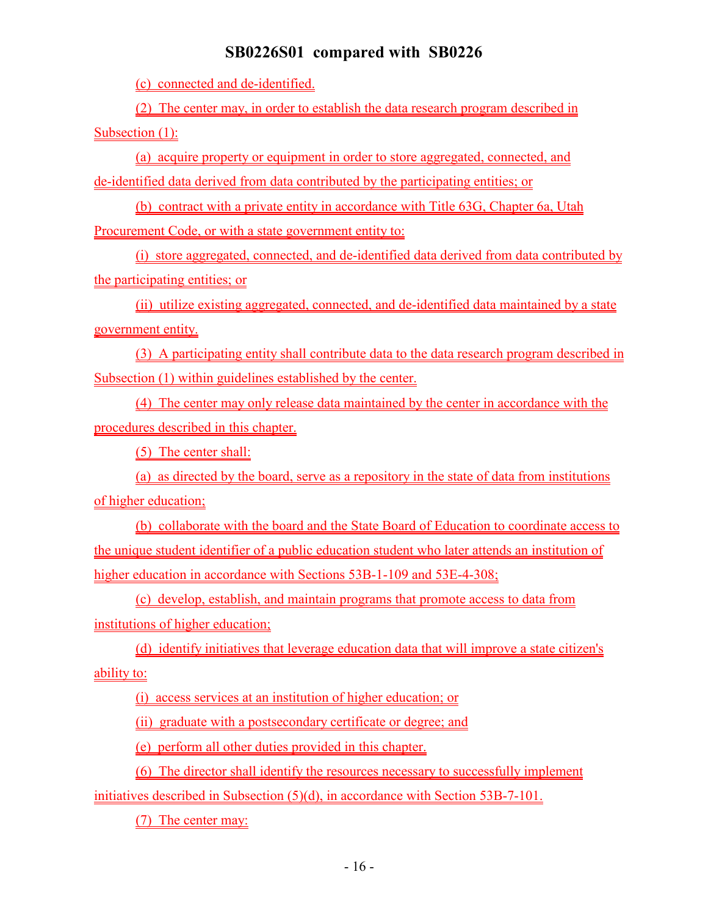(c) connected and de-identified.

(2) The center may, in order to establish the data research program described in Subsection (1):

(a) acquire property or equipment in order to store aggregated, connected, and de-identified data derived from data contributed by the participating entities; or

(b) contract with a private entity in accordance with Title 63G, Chapter 6a, Utah Procurement Code, or with a state government entity to:

(i) store aggregated, connected, and de-identified data derived from data contributed by the participating entities; or

(ii) utilize existing aggregated, connected, and de-identified data maintained by a state government entity.

(3) A participating entity shall contribute data to the data research program described in Subsection (1) within guidelines established by the center.

(4) The center may only release data maintained by the center in accordance with the procedures described in this chapter.

(5) The center shall:

(a) as directed by the board, serve as a repository in the state of data from institutions of higher education;

(b) collaborate with the board and the State Board of Education to coordinate access to the unique student identifier of a public education student who later attends an institution of higher education in accordance with Sections 53B-1-109 and 53E-4-308;

(c) develop, establish, and maintain programs that promote access to data from institutions of higher education;

(d) identify initiatives that leverage education data that will improve a state citizen's ability to:

(i) access services at an institution of higher education; or

(ii) graduate with a postsecondary certificate or degree; and

(e) perform all other duties provided in this chapter.

(6) The director shall identify the resources necessary to successfully implement

initiatives described in Subsection (5)(d), in accordance with Section 53B-7-101.

(7) The center may: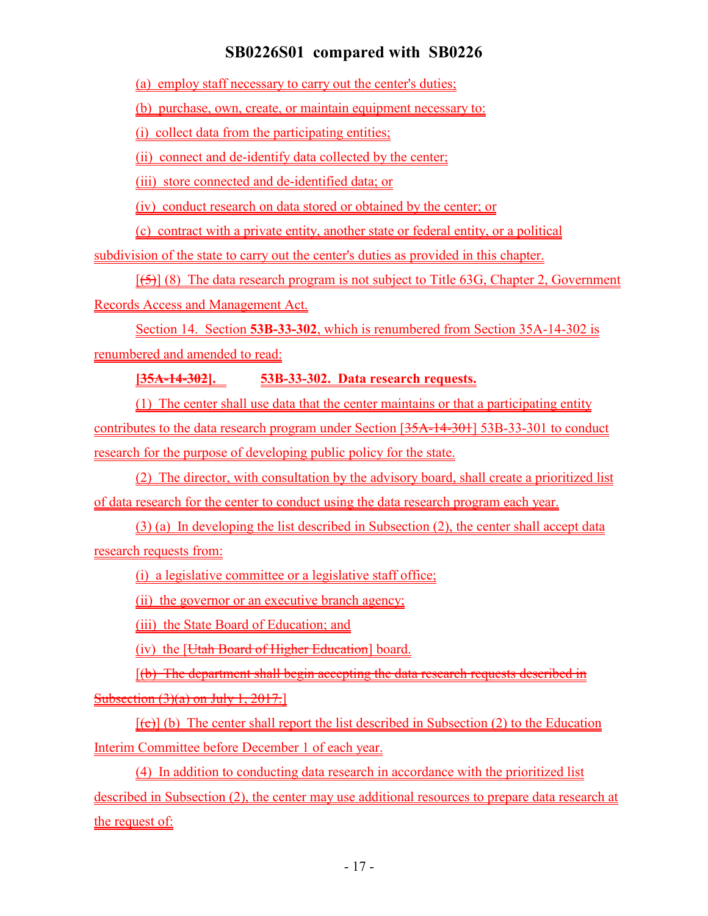(a) employ staff necessary to carry out the center's duties;

(b) purchase, own, create, or maintain equipment necessary to:

(i) collect data from the participating entities;

(ii) connect and de-identify data collected by the center;

(iii) store connected and de-identified data; or

(iv) conduct research on data stored or obtained by the center; or

(c) contract with a private entity, another state or federal entity, or a political

subdivision of the state to carry out the center's duties as provided in this chapter.

 $[\frac{1}{5}]$  (8) The data research program is not subject to Title 63G, Chapter 2, Government

Records Access and Management Act.

Section 14. Section **53B-33-302**, which is renumbered from Section 35A-14-302 is renumbered and amended to read:

**[35A-14-302]. 53B-33-302. Data research requests.**

(1) The center shall use data that the center maintains or that a participating entity contributes to the data research program under Section [35A-14-301] 53B-33-301 to conduct research for the purpose of developing public policy for the state.

(2) The director, with consultation by the advisory board, shall create a prioritized list of data research for the center to conduct using the data research program each year.

(3) (a) In developing the list described in Subsection (2), the center shall accept data research requests from:

(i) a legislative committee or a legislative staff office;

(ii) the governor or an executive branch agency;

(iii) the State Board of Education; and

(iv) the [Utah Board of Higher Education] board.

[(b) The department shall begin accepting the data research requests described in Subsection  $(3)(a)$  on July 1, 2017.

 $[\text{(\texttt{c})}]$  (b) The center shall report the list described in Subsection (2) to the Education Interim Committee before December 1 of each year.

(4) In addition to conducting data research in accordance with the prioritized list described in Subsection (2), the center may use additional resources to prepare data research at the request of: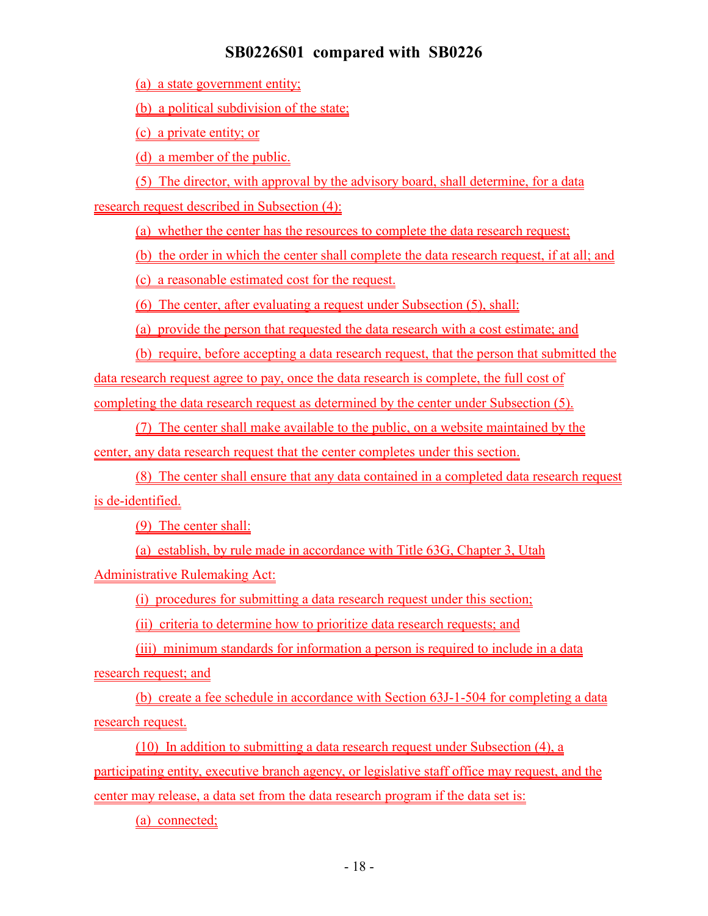(a) a state government entity;

(b) a political subdivision of the state;

(c) a private entity; or

(d) a member of the public.

(5) The director, with approval by the advisory board, shall determine, for a data research request described in Subsection (4):

(a) whether the center has the resources to complete the data research request;

(b) the order in which the center shall complete the data research request, if at all; and

(c) a reasonable estimated cost for the request.

(6) The center, after evaluating a request under Subsection (5), shall:

(a) provide the person that requested the data research with a cost estimate; and

(b) require, before accepting a data research request, that the person that submitted the data research request agree to pay, once the data research is complete, the full cost of completing the data research request as determined by the center under Subsection (5).

(7) The center shall make available to the public, on a website maintained by the center, any data research request that the center completes under this section.

(8) The center shall ensure that any data contained in a completed data research request is de-identified.

(9) The center shall:

(a) establish, by rule made in accordance with Title 63G, Chapter 3, Utah Administrative Rulemaking Act:

(i) procedures for submitting a data research request under this section;

(ii) criteria to determine how to prioritize data research requests; and

(iii) minimum standards for information a person is required to include in a data research request; and

(b) create a fee schedule in accordance with Section 63J-1-504 for completing a data research request.

(10) In addition to submitting a data research request under Subsection (4), a participating entity, executive branch agency, or legislative staff office may request, and the center may release, a data set from the data research program if the data set is:

(a) connected;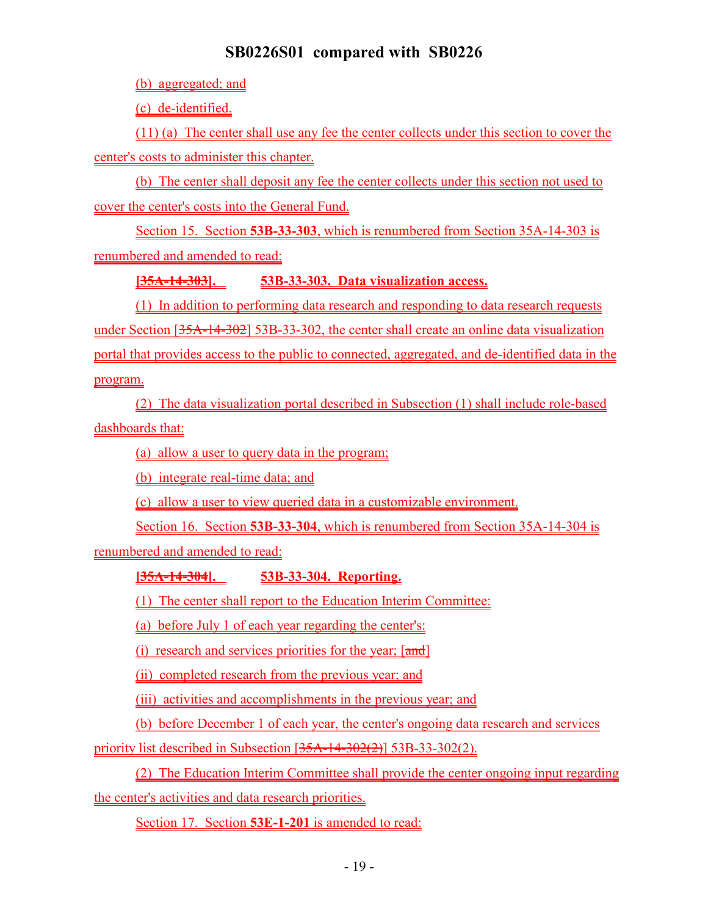(b) aggregated; and

(c) de-identified.

(11) (a) The center shall use any fee the center collects under this section to cover the center's costs to administer this chapter.

(b) The center shall deposit any fee the center collects under this section not used to cover the center's costs into the General Fund.

Section 15. Section **53B-33-303**, which is renumbered from Section 35A-14-303 is renumbered and amended to read:

**[35A-14-303]. 53B-33-303. Data visualization access.**

(1) In addition to performing data research and responding to data research requests under Section [35A-14-302] 53B-33-302, the center shall create an online data visualization portal that provides access to the public to connected, aggregated, and de-identified data in the program.

(2) The data visualization portal described in Subsection (1) shall include role-based dashboards that:

(a) allow a user to query data in the program;

(b) integrate real-time data; and

(c) allow a user to view queried data in a customizable environment.

Section 16. Section **53B-33-304**, which is renumbered from Section 35A-14-304 is

renumbered and amended to read:

### **[35A-14-304]. 53B-33-304. Reporting.**

(1) The center shall report to the Education Interim Committee:

(a) before July 1 of each year regarding the center's:

(i) research and services priorities for the year;  $\lceil \frac{and}{\rceil} \rceil$ 

(ii) completed research from the previous year; and

(iii) activities and accomplishments in the previous year; and

(b) before December 1 of each year, the center's ongoing data research and services

priority list described in Subsection [35A-14-302(2)] 53B-33-302(2).

(2) The Education Interim Committee shall provide the center ongoing input regarding the center's activities and data research priorities.

Section 17. Section **53E-1-201** is amended to read: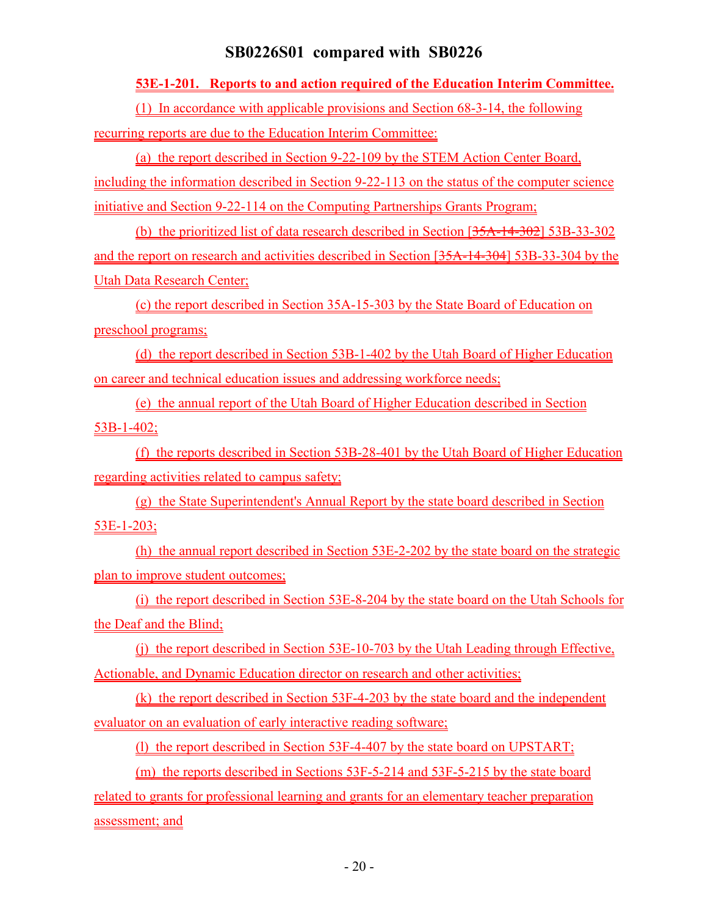#### **53E-1-201. Reports to and action required of the Education Interim Committee.**

(1) In accordance with applicable provisions and Section 68-3-14, the following

recurring reports are due to the Education Interim Committee:

(a) the report described in Section 9-22-109 by the STEM Action Center Board, including the information described in Section 9-22-113 on the status of the computer science initiative and Section 9-22-114 on the Computing Partnerships Grants Program;

(b) the prioritized list of data research described in Section [35A-14-302] 53B-33-302 and the report on research and activities described in Section [35A-14-304] 53B-33-304 by the Utah Data Research Center;

(c) the report described in Section 35A-15-303 by the State Board of Education on preschool programs;

(d) the report described in Section 53B-1-402 by the Utah Board of Higher Education on career and technical education issues and addressing workforce needs;

(e) the annual report of the Utah Board of Higher Education described in Section 53B-1-402;

(f) the reports described in Section 53B-28-401 by the Utah Board of Higher Education regarding activities related to campus safety;

(g) the State Superintendent's Annual Report by the state board described in Section 53E-1-203;

(h) the annual report described in Section 53E-2-202 by the state board on the strategic plan to improve student outcomes;

(i) the report described in Section 53E-8-204 by the state board on the Utah Schools for the Deaf and the Blind;

(j) the report described in Section 53E-10-703 by the Utah Leading through Effective, Actionable, and Dynamic Education director on research and other activities;

(k) the report described in Section 53F-4-203 by the state board and the independent evaluator on an evaluation of early interactive reading software;

(l) the report described in Section 53F-4-407 by the state board on UPSTART;

(m) the reports described in Sections 53F-5-214 and 53F-5-215 by the state board

related to grants for professional learning and grants for an elementary teacher preparation assessment; and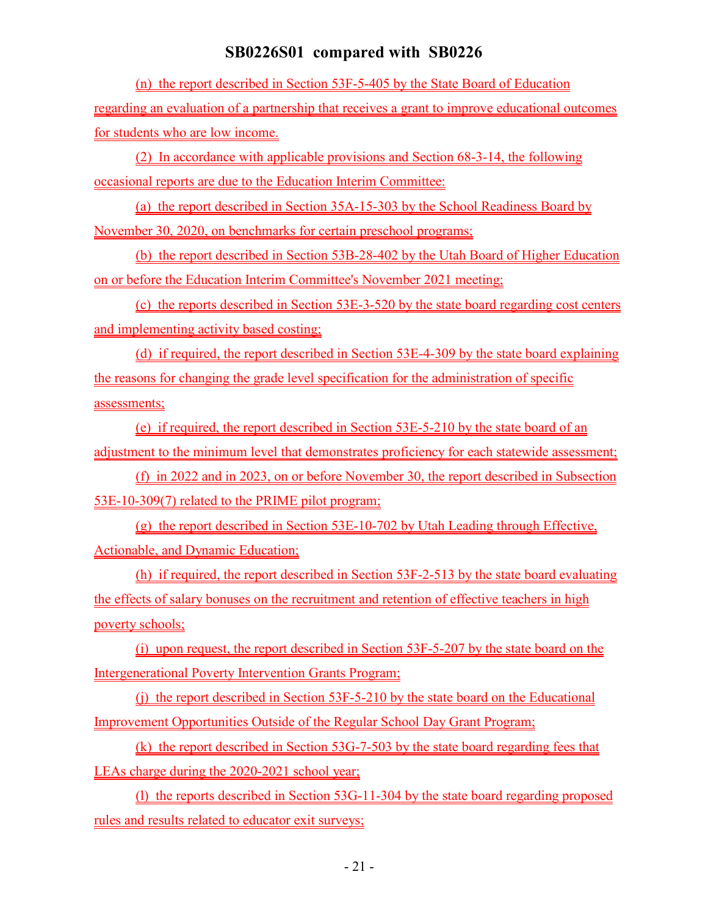(n) the report described in Section 53F-5-405 by the State Board of Education regarding an evaluation of a partnership that receives a grant to improve educational outcomes for students who are low income.

(2) In accordance with applicable provisions and Section 68-3-14, the following occasional reports are due to the Education Interim Committee:

(a) the report described in Section 35A-15-303 by the School Readiness Board by November 30, 2020, on benchmarks for certain preschool programs;

(b) the report described in Section 53B-28-402 by the Utah Board of Higher Education on or before the Education Interim Committee's November 2021 meeting;

(c) the reports described in Section 53E-3-520 by the state board regarding cost centers and implementing activity based costing;

(d) if required, the report described in Section 53E-4-309 by the state board explaining the reasons for changing the grade level specification for the administration of specific assessments;

(e) if required, the report described in Section 53E-5-210 by the state board of an adjustment to the minimum level that demonstrates proficiency for each statewide assessment;

(f) in 2022 and in 2023, on or before November 30, the report described in Subsection 53E-10-309(7) related to the PRIME pilot program;

(g) the report described in Section 53E-10-702 by Utah Leading through Effective, Actionable, and Dynamic Education;

(h) if required, the report described in Section 53F-2-513 by the state board evaluating the effects of salary bonuses on the recruitment and retention of effective teachers in high poverty schools;

(i) upon request, the report described in Section 53F-5-207 by the state board on the Intergenerational Poverty Intervention Grants Program;

(j) the report described in Section 53F-5-210 by the state board on the Educational Improvement Opportunities Outside of the Regular School Day Grant Program;

(k) the report described in Section 53G-7-503 by the state board regarding fees that LEAs charge during the 2020-2021 school year;

(l) the reports described in Section 53G-11-304 by the state board regarding proposed rules and results related to educator exit surveys;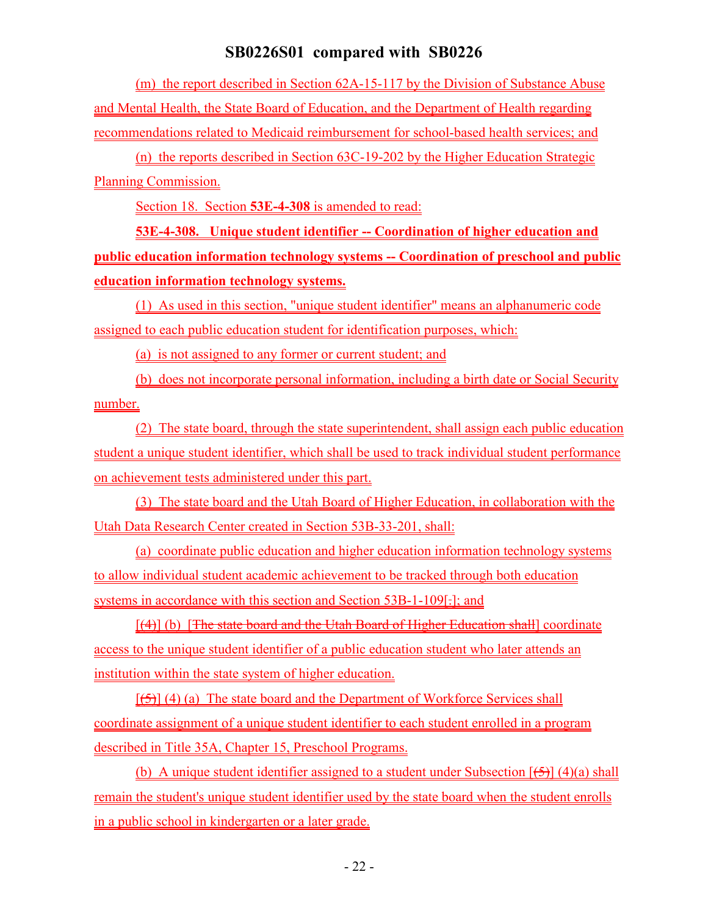(m) the report described in Section 62A-15-117 by the Division of Substance Abuse and Mental Health, the State Board of Education, and the Department of Health regarding recommendations related to Medicaid reimbursement for school-based health services; and

(n) the reports described in Section 63C-19-202 by the Higher Education Strategic Planning Commission.

Section 18. Section **53E-4-308** is amended to read:

**53E-4-308. Unique student identifier -- Coordination of higher education and public education information technology systems -- Coordination of preschool and public education information technology systems.**

(1) As used in this section, "unique student identifier" means an alphanumeric code assigned to each public education student for identification purposes, which:

(a) is not assigned to any former or current student; and

(b) does not incorporate personal information, including a birth date or Social Security number.

(2) The state board, through the state superintendent, shall assign each public education student a unique student identifier, which shall be used to track individual student performance on achievement tests administered under this part.

(3) The state board and the Utah Board of Higher Education, in collaboration with the Utah Data Research Center created in Section 53B-33-201, shall:

(a) coordinate public education and higher education information technology systems to allow individual student academic achievement to be tracked through both education systems in accordance with this section and Section 53B-1-109[.]; and

[(4)] (b) [The state board and the Utah Board of Higher Education shall] coordinate access to the unique student identifier of a public education student who later attends an institution within the state system of higher education.

 $[\frac{1}{5}]$  (4) (a) The state board and the Department of Workforce Services shall coordinate assignment of a unique student identifier to each student enrolled in a program described in Title 35A, Chapter 15, Preschool Programs.

(b) A unique student identifier assigned to a student under Subsection  $[\frac{1}{2}]$  (4)(a) shall remain the student's unique student identifier used by the state board when the student enrolls in a public school in kindergarten or a later grade.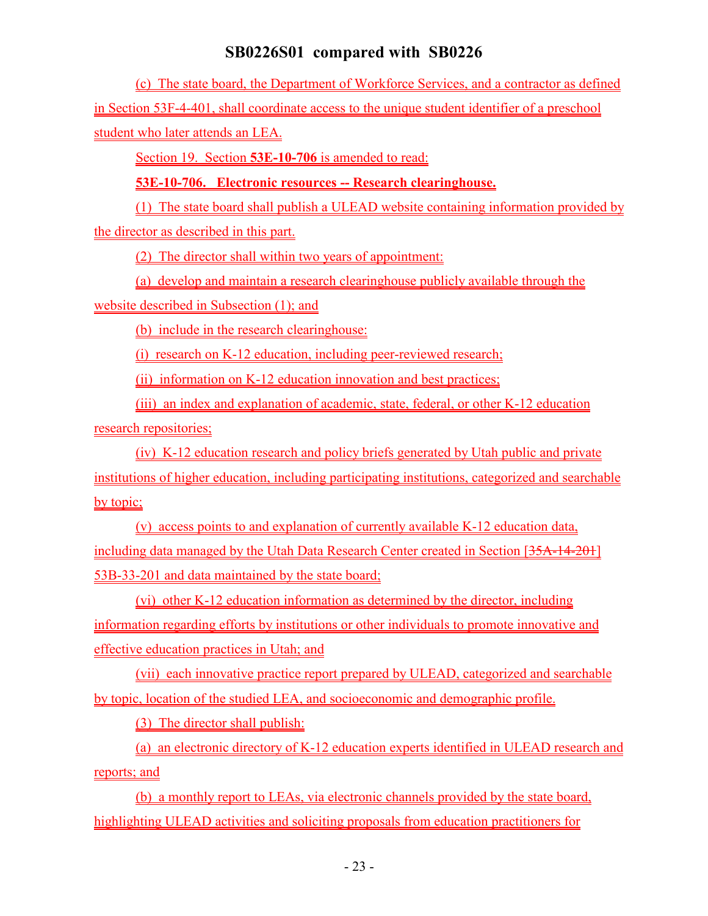(c) The state board, the Department of Workforce Services, and a contractor as defined in Section 53F-4-401, shall coordinate access to the unique student identifier of a preschool student who later attends an LEA.

Section 19. Section **53E-10-706** is amended to read:

**53E-10-706. Electronic resources -- Research clearinghouse.**

(1) The state board shall publish a ULEAD website containing information provided by the director as described in this part.

(2) The director shall within two years of appointment:

(a) develop and maintain a research clearinghouse publicly available through the

website described in Subsection (1); and

(b) include in the research clearinghouse:

(i) research on K-12 education, including peer-reviewed research;

(ii) information on K-12 education innovation and best practices;

(iii) an index and explanation of academic, state, federal, or other K-12 education

research repositories;

(iv) K-12 education research and policy briefs generated by Utah public and private institutions of higher education, including participating institutions, categorized and searchable by topic;

(v) access points to and explanation of currently available K-12 education data, including data managed by the Utah Data Research Center created in Section [35A-14-201] 53B-33-201 and data maintained by the state board;

(vi) other K-12 education information as determined by the director, including information regarding efforts by institutions or other individuals to promote innovative and effective education practices in Utah; and

(vii) each innovative practice report prepared by ULEAD, categorized and searchable by topic, location of the studied LEA, and socioeconomic and demographic profile.

(3) The director shall publish:

(a) an electronic directory of K-12 education experts identified in ULEAD research and reports; and

(b) a monthly report to LEAs, via electronic channels provided by the state board, highlighting ULEAD activities and soliciting proposals from education practitioners for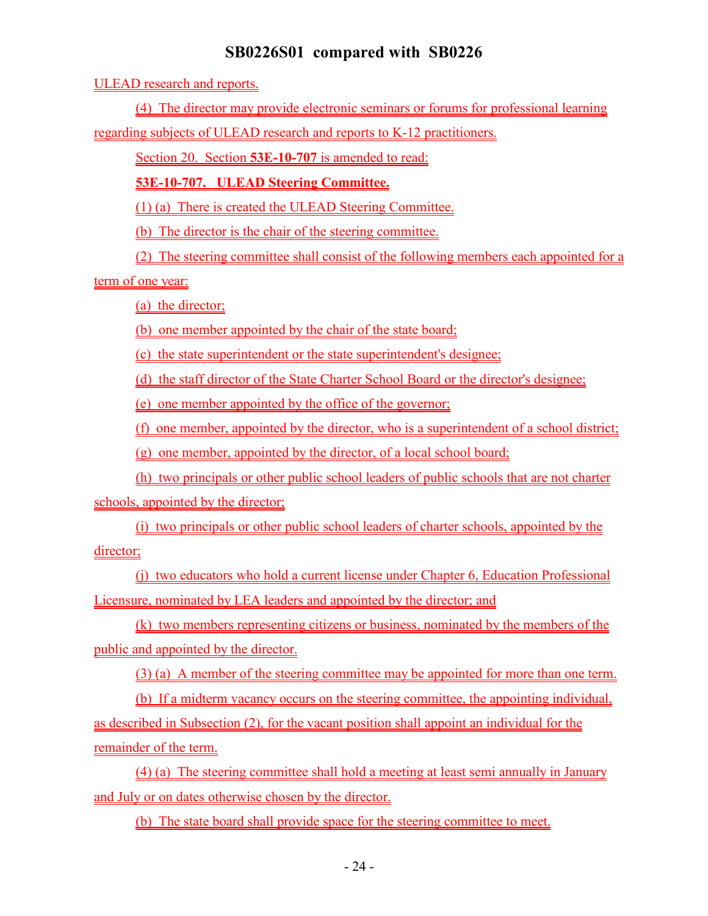ULEAD research and reports.

(4) The director may provide electronic seminars or forums for professional learning

regarding subjects of ULEAD research and reports to K-12 practitioners.

Section 20. Section **53E-10-707** is amended to read:

**53E-10-707. ULEAD Steering Committee.**

(1) (a) There is created the ULEAD Steering Committee.

(b) The director is the chair of the steering committee.

(2) The steering committee shall consist of the following members each appointed for a

term of one year:

(a) the director;

(b) one member appointed by the chair of the state board;

(c) the state superintendent or the state superintendent's designee;

(d) the staff director of the State Charter School Board or the director's designee;

(e) one member appointed by the office of the governor;

(f) one member, appointed by the director, who is a superintendent of a school district;

(g) one member, appointed by the director, of a local school board;

(h) two principals or other public school leaders of public schools that are not charter schools, appointed by the director;

(i) two principals or other public school leaders of charter schools, appointed by the director;

(j) two educators who hold a current license under Chapter 6, Education Professional Licensure, nominated by LEA leaders and appointed by the director; and

(k) two members representing citizens or business, nominated by the members of the public and appointed by the director.

(3) (a) A member of the steering committee may be appointed for more than one term.

(b) If a midterm vacancy occurs on the steering committee, the appointing individual, as described in Subsection (2), for the vacant position shall appoint an individual for the remainder of the term.

(4) (a) The steering committee shall hold a meeting at least semi annually in January and July or on dates otherwise chosen by the director.

(b) The state board shall provide space for the steering committee to meet.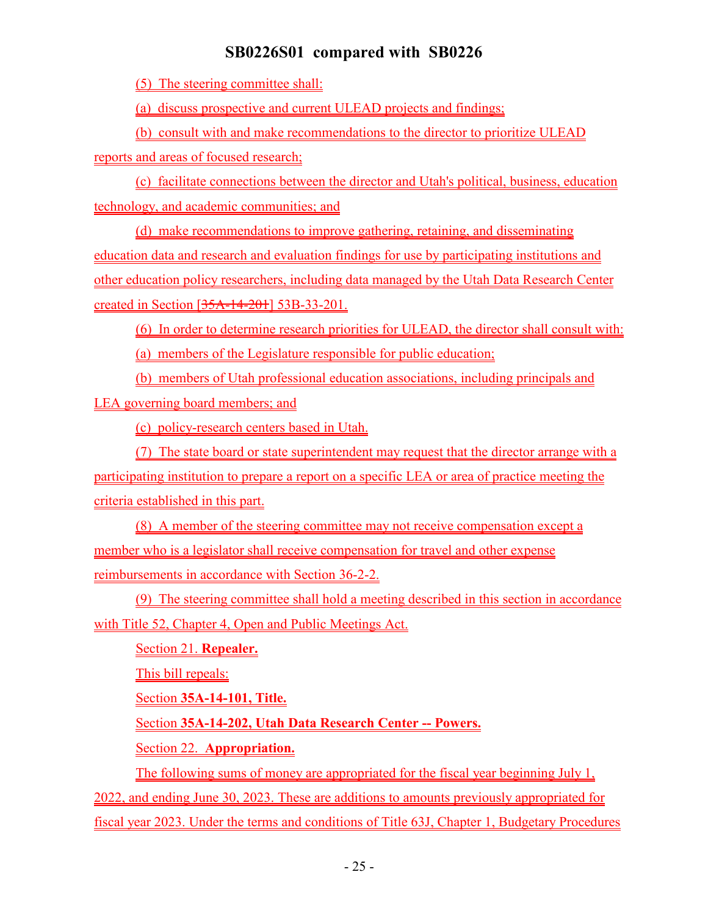(5) The steering committee shall:

(a) discuss prospective and current ULEAD projects and findings;

(b) consult with and make recommendations to the director to prioritize ULEAD

reports and areas of focused research;

(c) facilitate connections between the director and Utah's political, business, education technology, and academic communities; and

(d) make recommendations to improve gathering, retaining, and disseminating education data and research and evaluation findings for use by participating institutions and other education policy researchers, including data managed by the Utah Data Research Center created in Section [35A-14-201] 53B-33-201.

(6) In order to determine research priorities for ULEAD, the director shall consult with:

(a) members of the Legislature responsible for public education;

(b) members of Utah professional education associations, including principals and

LEA governing board members; and

(c) policy-research centers based in Utah.

(7) The state board or state superintendent may request that the director arrange with a

participating institution to prepare a report on a specific LEA or area of practice meeting the criteria established in this part.

(8) A member of the steering committee may not receive compensation except a member who is a legislator shall receive compensation for travel and other expense reimbursements in accordance with Section 36-2-2.

(9) The steering committee shall hold a meeting described in this section in accordance with Title 52, Chapter 4, Open and Public Meetings Act.

Section 21. **Repealer.**

This bill repeals:

Section **35A-14-101, Title.**

Section **35A-14-202, Utah Data Research Center -- Powers.**

Section 22. **Appropriation.**

The following sums of money are appropriated for the fiscal year beginning July 1,

2022, and ending June 30, 2023. These are additions to amounts previously appropriated for fiscal year 2023. Under the terms and conditions of Title 63J, Chapter 1, Budgetary Procedures